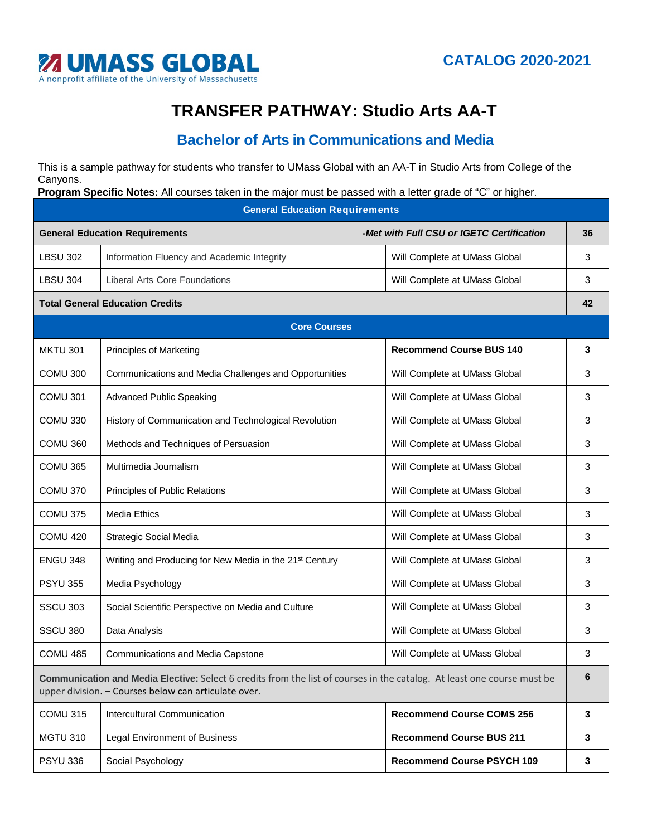

## **TRANSFER PATHWAY: Studio Arts AA-T**

## **Bachelor of Arts in Communications and Media**

This is a sample pathway for students who transfer to UMass Global with an AA-T in Studio Arts from College of the Canyons.

**Program Specific Notes:** All courses taken in the major must be passed with a letter grade of "C" or higher.

**General Education Requirements General Education Requirements** *-Met with Full CSU or IGETC Certification* **36** LBSU 302 | Information Fluency and Academic Integrity Nulley Null Complete at UMass Global 23 LBSU 304 | Liberal Arts Core Foundations Number 2012 | Will Complete at UMass Global 2014 | 3 **Total General Education Credits 42 Core Courses** MKTU 301 Principles of Marketing **Recommend Course BUS 140 3** COMU 300 Communications and Media Challenges and Opportunities Vill Complete at UMass Global 3 COMU 301 | Advanced Public Speaking November 2012 | Will Complete at UMass Global 2013 COMU 330 | History of Communication and Technological Revolution | Will Complete at UMass Global 3 COMU 360 | Methods and Techniques of Persuasion Null Complete at UMass Global 3 COMU 365 | Multimedia Journalism Number 2006 | Will Complete at UMass Global 2006 | 3 COMU 370 | Principles of Public Relations Number 2006 | Will Complete at UMass Global 2009 | 3 COMU 375 | Media Ethics Note at UMass Global 2014 | 2016 | Will Complete at UMass Global 2016 COMU 420 Strategic Social Media News Strategic Social Media News Strategies News Strategies Social Media 3 ENGU 348 Writing and Producing for New Media in the 21<sup>st</sup> Century Will Complete at UMass Global  $\vert$  3 PSYU 355 | Media Psychology New York Will Complete at UMass Global 23 SSCU 303 Social Scientific Perspective on Media and Culture Will Complete at UMass Global 33 SSCU 380 Data Analysis **No. 2018** 2019 12:00 No. 2019 12:00 Nill Complete at UMass Global 2019 13:00 COMU 485 Communications and Media Capstone Will Complete at UMass Global 3 **Communication and Media Elective:** Select 6 credits from the list of courses in the catalog. At least one course must be upper division. – Courses below can articulate over. **6** COMU 315 Intercultural Communication **Recommend Course COMS 256 3** MGTU 310 Legal Environment of Business **Recommend Course BUS 211 3** PSYU 336 Social Psychology **Recommend Course PSYCH 109** 3